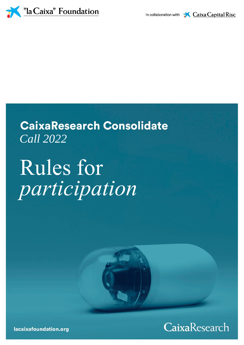

# **CaixaResearch Consolidate** *Call 2022*

# Rules for *participation*



lacaixafoundation.org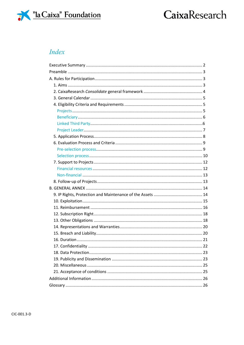

### **Index**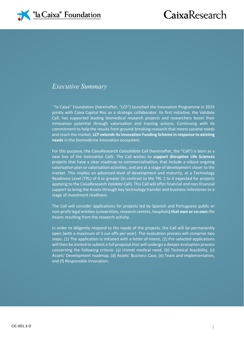

### *Executive Summary*

''la Caixa'' Foundation (hereinafter, "LCF") launched the Innovation Programme in 2015 jointly with Caixa Capital Risc as a strategic collaborator. Its first initiative, the Validate Call, has supported leading biomedical research projects and researchers boost their innovation potential through valorisation and training actions. Continuing with its commitment to help the results from ground-breaking research that meets societal needs and reach the market, **LCF extends its Innovation Funding Scheme in response to existing needs** in the biomedicine innovation ecosystem.

For this purpose, the CaixaResearch *Consolidate* Call (hereinafter, the "Call") is born as a new line of the innovation Calls. The Call wishes to **support disruptive Life Sciences** projects that have a clear roadmap to commercialisation, that include a robust ongoing valorisation plan or valorisation activities, and are at a stage of development closer to the market. This implies an advanced level of development and maturity, at a Technology Readiness Level (TRL) of 4 or greater (in contrast to the TRL 1 to 4 expected for projects applying to the CaixaResearch *Validate* Call). This Call will offer financial and non-financial support to bring the Assets through key technology transfer and business milestones to a stage of investment readiness.

The Call will consider applications for projects led by Spanish and Portuguese public or non-profit legal entities (universities, research centres, hospitals**) that own or co-own** the Assets resulting from the research activity.

In order to diligently respond to the needs of the projects, the Call will be permanently open (with a maximum of 3 cut-offs per year). The evaluation process will comprise two steps. (1) The application is initiated with a letter of intent; (2) Pre-selected applications will then be invited to submit a full proposal that will undergo a deeper evaluation process concerning the following criteria: (a) Unmet medical need, (b) Technical feasibility, (c) Assets' Development roadmap, (d) Assets' Business Case, (e) Team and implementation, and (f) Responsible Innovation.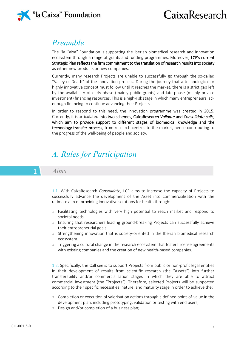

### *Preamble*

The "la Caixa" Foundation is supporting the Iberian biomedical research and innovation ecosystem through a range of grants and funding programmes. Moreover, LCF's current Strategic Plan reflects the firm commitment to the translation of research results into society as either new products or new companies.

Currently, many research Projects are unable to successfully go through the so-called "Valley of Death" of the innovation process. During the journey that a technological or highly innovative concept must follow until it reaches the market, there is a strict gap left by the availability of early-phase (mainly public grants) and late-phase (mainly private investment) financing resources. This is a high-risk stage in which many entrepreneurs lack enough financing to continue advancing their Projects.

In order to respond to this need, the innovation programme was created in 2015. Currently, it is articulated into two schemes, CaixaResearch *Validate* and *Consolidate calls*, which aim to provide support to different stages of biomedical knowledge and the technology transfer process, from research centres to the market, hence contributing to the progress of the well-being of people and society.

## *A. Rules for Participation*

#### 1 *Aims*

1.1. With CaixaResearch *Consolidate*, LCF aims to increase the capacity of Projects to successfully advance the development of the Asset into commercialisation with the ultimate aim of providing innovative solutions for health through:

- » Facilitating technologies with very high potential to reach market and respond to societal needs.
- » Ensuring that researchers leading ground-breaking Projects can successfully achieve their entrepreneurial goals.
- » Strengthening innovation that is society-oriented in the Iberian biomedical research ecosystem.
- » Triggering a cultural change in the research ecosystem that fosters license agreements with existing companies and the creation of new health-based companies.

1.2. Specifically, the Call seeks to support Projects from public or non-profit legal entities in their development of results from scientific research (the "Assets") into further transferability and/or commercialisation stages in which they are able to attract commercial investment (the "Projects"). Therefore, selected Projects will be supported according to their specific necessities, nature, and maturity stage in order to achieve the:

- » Completion or execution of valorisation actions through a defined point-of-value in the development plan, including prototyping, validation or testing with end users;
- » Design and/or completion of a business plan;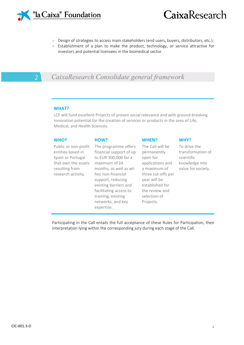

- » Design of strategies to access main stakeholders (end users, buyers, distributors, etc.);
- » Establishment of a plan to make the product, technology, or service attractive for investors and potential licensees in the biomedical sector.

### 2 *CaixaResearch Consolidate general framework*

#### **WHAT?**

LCF will fund excellent Projects of proven social relevance and with ground-breaking innovation potential for the creation of services or products in the area of Life, Medical, and Health Sciences.

| WHO?                                                                                                                          | HOW?                                                                                                                                                                                                                                                                     | <b>WHEN?</b>                                                                                                                                                                            | WHY?                                                                                    |
|-------------------------------------------------------------------------------------------------------------------------------|--------------------------------------------------------------------------------------------------------------------------------------------------------------------------------------------------------------------------------------------------------------------------|-----------------------------------------------------------------------------------------------------------------------------------------------------------------------------------------|-----------------------------------------------------------------------------------------|
| Public or non-profit<br>entities based in<br>Spain or Portugal<br>that own the assets<br>resulting from<br>research activity. | The programme offers<br>financial support of up<br>to EUR 300,000 for a<br>maximum of 24<br>months, as well as ad-<br>hoc non-financial<br>support, reducing<br>existing barriers and<br>facilitating access to<br>training, existing<br>networks, and key<br>expertise. | The Call will be<br>permanently<br>open for<br>applications and<br>a maximum of<br>three cut-offs per<br>year will be<br>established for<br>the review and<br>selection of<br>Projects. | To drive the<br>transformation of<br>scientific<br>knowledge into<br>value for society. |

Participating in the Call entails the full acceptance of these Rules for Participation, their interpretation lying within the corresponding jury during each stage of the Call.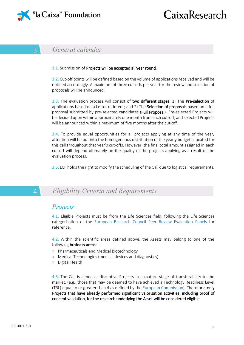

### 3 *General calendar*

#### 3.1. Submission of Projects will be accepted all year round.

3.2. Cut-off points will be defined based on the volume of applications received and will be notified accordingly. A maximum of three cut-offs per year for the review and selection of proposals will be announced.

3.3. The evaluation process will consist of two different stages: 1) The Pre-selection of applications based on a Letter of Intent; and 2) The **Selection of proposals** based on a full proposal submitted by pre-selected candidates (Full Proposal). Pre-selected Projects will be decided upon within approximately one month from each cut-off, and selected Projects will be announced within a maximum of five months after the cut-off.

3.4. To provide equal opportunities for all projects applying at any time of the year, attention will be put into the homogeneous distribution of the yearly budget allocated for this call throughout that year's cut-offs. However, the final total amount assigned in each cut-off will depend ultimately on the quality of the projects applying as a result of the evaluation process.

3.5. LCF holds the right to modify the scheduling of the Call due to logistical requirements.

### 4 *Eligibility Criteria and Requirements*

### *Projects*

4.1. Eligible Projects must be from the Life Sciences field, following the Life Sciences categorisation of the [European Research Council Peer Review Evaluation Panels](https://erc.europa.eu/sites/default/files/document/file/erc%20peer%20review%20evaluation%20panels.pdf) for reference.

4.2. Within the scientific areas defined above, the Assets may belong to one of the following business areas:

- » Pharmaceuticals and Medical Biotechnology
- » Medical Technologies (medical devices and diagnostics)
- » Digital Health

4.3. The Call is aimed at disruptive Projects in a mature stage of transferability to the market, (e.g., those that may be deemed to have achieved a Technology Readiness Level (TRL) equal to or greater than 4 as defined by the **European Commission**). Therefore, only Projects that have already performed significant valorisation activities, including proof of concept validation, for the research underlying the Asset will be considered eligible.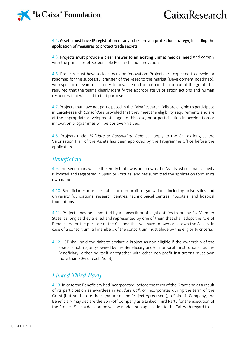#### 4.4. Assets must have IP registration or any other proven protection strategy, including the application of measures to protect trade secrets.

4.5. Projects must provide a clear answer to an existing unmet medical need and comply with the principles of Responsible Research and Innovation.

4.6. Projects must have a clear focus on innovation: Projects are expected to develop a roadmap for the successful transfer of the Asset to the market (Development Roadmap), with specific relevant milestones to advance on this path in the context of the grant. It is required that the teams clearly identify the appropriate valorisation actions and human resources that will lead to that purpose.

4.7. Projects that have not participated in the CaixaResearch Calls are eligible to participate in CaixaResearch *Consolidate* provided that they meet the eligibility requirements and are at the appropriate development stage. In this case, prior participation in acceleration or innovation programmes will be positively valued.

4.8. Projects under *Validate or Consolidate Calls* can apply to the Call as long as the Valorisation Plan of the Assets has been approved by the Programme Office before the application.

### *Beneficiary*

4.9. The Beneficiary will be the entity that owns or co-owns the Assets, whose main activity is located and registered in Spain or Portugal and has submitted the application form in its own name.

4.10. Beneficiaries must be public or non-profit organisations: including universities and university foundations, research centres, technological centres, hospitals, and hospital foundations.

4.11. Projects may be submitted by a consortium of legal entities from any EU Member State, as long as they are led and represented by one of them that shall adopt the role of Beneficiary for the purpose of the Call and that will have to own or co-own the Assets. In case of a consortium, all members of the consortium must abide by the eligibility criteria.

4.12. LCF shall hold the right to declare a Project as non-eligible if the ownership of the assets is not majority-owned by the Beneficiary and/or non-profit institutions (i.e. the Beneficiary, either by itself or together with other non-profit institutions must own more than 50% of each Asset).

### *Linked Third Party*

4.13. In case the Beneficiary had incorporated, before the term of the Grant and as a result of its participation as awardees in *Validate Call*, or incorporates during the term of the Grant (but not before the signature of the Project Agreement), a Spin-off Company, the Beneficiary may declare the Spin-off Company as a Linked Third Party for the execution of the Project. Such a declaration will be made upon application to the Call with regard to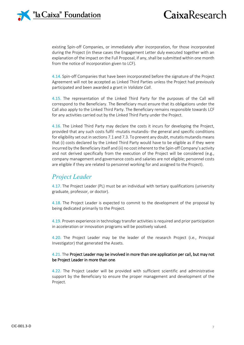

existing Spin-off Companies, or immediately after incorporation, for those incorporated during the Project (in these cases the Engagement Letter duly executed together with an explanation of the impact on the Full Proposal, if any, shall be submitted within one month from the notice of incorporation given to LCF).

4.14. Spin-off Companies that have been incorporated before the signature of the Project Agreement will not be accepted as Linked Third Parties unless the Project had previously participated and been awarded a grant in *Validate Call*.

4.15. The representation of the Linked Third Party for the purposes of the Call will correspond to the Beneficiary. The Beneficiary must ensure that its obligations under the Call also apply to the Linked Third Party. The Beneficiary remains responsible towards LCF for any activities carried out by the Linked Third Party under the Project.

4.16. The Linked Third Party may declare the costs it incurs for developing the Project, provided that any such costs fulfil -mutatis mutandis- the general and specific conditions for eligibility set out in sections 7.1 and 7.3. To prevent any doubt, mutatis mutandis means that (i) costs declared by the Linked Third Party would have to be eligible as if they were incurred by the Beneficiary itself and (ii) no cost inherent to the Spin-off Company's activity and not derived specifically from the execution of the Project will be considered (e.g., company management and governance costs and salaries are not eligible; personnel costs are eligible if they are related to personnel working for and assigned to the Project).

### *Project Leader*

4.17. The Project Leader (PL) must be an individual with tertiary qualifications (university graduate, professor, or doctor).

4.18. The Project Leader is expected to commit to the development of the proposal by being dedicated primarily to the Project.

4.19. Proven experience in technology transfer activities is required and prior participation in acceleration or innovation programs will be positively valued.

4.20. The Project Leader may be the leader of the research Project (i.e., Principal Investigator) that generated the Assets.

#### 4.21. The Project Leader may be involved in more than one application per call, but may not be Project Leader in more than one.

4.22. The Project Leader will be provided with sufficient scientific and administrative support by the Beneficiary to ensure the proper management and development of the Project.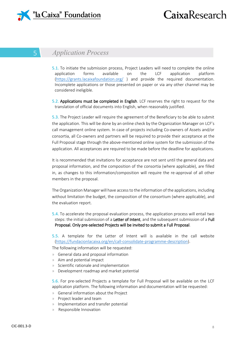

### 5 *Application Process*

5.1. To initiate the submission process, Project Leaders will need to complete the online application forms available on the LCF application platform [\(https://grants.lacaixafoundation.org/](https://grants.lacaixafoundation.org/) ) and provide the required documentation. Incomplete applications or those presented on paper or via any other channel may be considered ineligible.

5.2. Applications must be completed in English. LCF reserves the right to request for the translation of official documents into English, when reasonably justified.

5.3. The Project Leader will require the agreement of the Beneficiary to be able to submit the application. This will be done by an online check by the Organization Manager on LCF's call management online system. In case of projects including Co-owners of Assets and/or consortia, all Co-owners and partners will be required to provide their acceptance at the Full Proposal stage through the above-mentioned online system for the submission of the application. All acceptances are required to be made before the deadline for applications.

It is recommended that invitations for acceptance are not sent until the general data and proposal information, and the composition of the consortia (where applicable), are filled in, as changes to this information/composition will require the re-approval of all other members in the proposal.

The Organization Manager will have access to the information of the applications, including without limitation the budget, the composition of the consortium (where applicable), and the evaluation report.

- 5.4. To accelerate the proposal evaluation process, the application process will entail two steps: the initial submission of a Letter of Intent, and the subsequent submission of a Full Proposal. Only pre-selected Projects will be invited to submit a Full Proposal.
- 5.5. A template for the Letter of Intent will is available in the call website [\(https://fundacionlacaixa.org/en/call-consolidate-programme-description\)](https://fundacionlacaixa.org/en/call-consolidate-programme-description).

The following information will be requested:

- » General data and proposal information
- » Aim and potential impact
- » Scientific rationale and implementation
- » Development roadmap and market potential

5.6. For pre-selected Projects a template for Full Proposal will be available on the LCF application platform. The following information and documentation will be requested:

- » General information about the Project
- » Project leader and team
- » Implementation and transfer potential
- » Responsible Innovation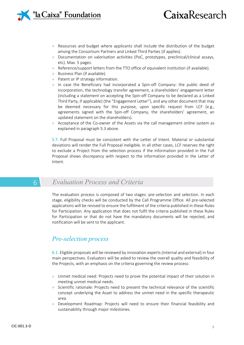

# CaixaResearch

- » Resources and budget where applicants shall include the distribution of the budget among the Consortium Partners and Linked Third Parties (if applies).
- » Documentation on valorisation activities (PoC, prototypes, preclinical/clinical assays, etc). Max. 5 pages.
- » Reference/support letters from the TTO office of equivalent institution (if available).
- » Business Plan (if available).
- » Patent or IP strategy information.
- » In case the Beneficiary had incorporated a Spin-off Company: the public deed of incorporation, the technology transfer agreement, a shareholders' engagement letter (including a statement on accepting the Spin-off Company to be declared as a Linked Third Party, if applicable) (the "Engagement Letter"), and any other document that may be deemed necessary for this purpose, upon specific request from LCF (e.g., agreements signed with the Spin-off Company, the shareholders' agreement, an updated statement on the shareholders).
- » Acceptance of the Co-owner of the Assets via the call management online system as explained in paragraph 5.3 above.

5.7. Full Proposal must be consistent with the Letter of Intent. Material or substantial deviations will render the Full Proposal ineligible. In all other cases, LCF reserves the right to exclude a Project from the selection process if the information provided in the Full Proposal shows discrepancy with respect to the information provided in the Letter of Intent.

### 6 *Evaluation Process and Criteria*

The evaluation process is composed of two stages: pre-selection and selection. In each stage, eligibility checks will be conducted by the Call Programme Office. All pre-selected applications will be revised to ensure the fulfilment of the criteria published in these Rules for Participation. Any application that does not fulfil the criteria published in these Rules for Participation or that do not have the mandatory documents will be rejected, and notification will be sent to the applicant.

### *Pre-selection process*

6.1. Eligible proposals will be reviewed by innovation experts (internal and external) in four main perspectives. Evaluators will be asked to review the overall quality and feasibility of the Projects, with an emphasis on the criteria governing the review process:

- » Unmet medical need: Projects need to prove the potential impact of their solution in meeting unmet medical needs.
- » Scientific rationale: Projects need to present the technical relevance of the scientific concept underlying the Asset to address the unmet need in the specific therapeutic area.
- » Development Roadmap: Projects will need to ensure their financial feasibility and sustainability through major milestones.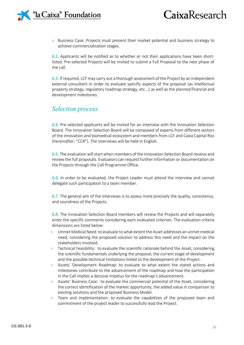

» Business Case: Projects must present their market potential and business strategy to achieve commercialisation stages.

6.2. Applicants will be notified as to whether or not their applications have been shortlisted. Pre-selected Projects will be invited to submit a Full Proposal to the next phase of the call.

6.3. If required, LCF may carry out a thorough assessment of the Project by an independent external consultant in order to evaluate specific aspects of the proposal (as intellectual property strategy, regulatory roadmap strategy, etc...), as well as the planned financial and development milestones.

### *Selection process*

6.4. Pre-selected applicants will be invited for an interview with the Innovation Selection Board. The Innovation Selection Board will be composed of experts from different sectors of the innovation and biomedical ecosystem and members from LCF and Caixa Capital Risc (hereinafter, "CCR"). The interviews will be held in English.

6.5. The evaluation will start when members of the Innovation Selection Board receive and review the full proposals. Evaluators can request further information or documentation on the Projects through the Call Programme Office.

6.6. In order to be evaluated, the Project Leader must attend the interview and cannot delegate such participation to a team member.

6.7. The general aim of the interviews is to assess more precisely the quality, consistency, and soundness of the Projects.

6.8. The Innovation Selection Board members will review the Projects and will separately enter the specific comments considering each evaluated criterion. The evaluation criteria dimensions are listed below:

- » Unmet Medical Need: to evaluate to what extent the Asset addresses an unmet medical need, considering the proposed solution to address this need and the impact on the stakeholders involved.
- » Technical Feasibility: to evaluate the scientific rationale behind the Asset, considering the scientific fundamentals underlying the proposal, the current stage of development and the possible technical limitations linked to the development of the Project.
- » Assets' Development Roadmap: to evaluate to what extent the stated actions and milestones contribute to the advancement of the roadmap and how the participation in the Call implies a decisive impetus for the roadmap's advancement.
- » Assets' Business Case: to evaluate the commercial potential of the Asset, considering the correct identification of the market opportunity, the added value in comparison to existing solutions and the proposed Business Model.
- » Team and Implementation: to evaluate the capabilities of the proposed team and commitment of the project leader to successfully lead the Project.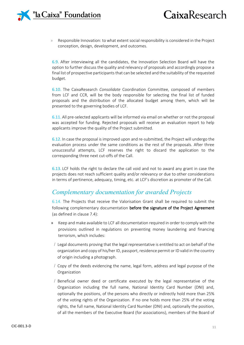

» Responsible Innovation: to what extent social responsibility is considered in the Project conception, design, development, and outcomes.

6.9. After interviewing all the candidates, the Innovation Selection Board will have the option to further discuss the quality and relevancy of proposals and accordingly propose a final list of prospective participants that can be selected and the suitability of the requested budget.

6.10. The CaixaResearch *Consolidate* Coordination Committee, composed of members from LCF and CCR, will be the body responsible for selecting the final list of funded proposals and the distribution of the allocated budget among them, which will be presented to the governing bodies of LCF.

6.11. All pre-selected applicants will be informed via email on whether or not the proposal was accepted for funding. Rejected proposals will receive an evaluation report to help applicants improve the quality of the Project submitted.

6.12. In case the proposal is improved upon and re-submitted, the Project will undergo the evaluation process under the same conditions as the rest of the proposals. After three unsuccessful attempts, LCF reserves the right to discard the application to the corresponding three next cut-offs of the Call.

6.13. LCF holds the right to declare the call void and not to award any grant in case the projects does not reach sufficient quality and/or relevancy or due to other considerations in terms of pertinence, adequacy, timing, etc. at LCF's discretion as promoter of the Call.

### *Complementary documentation for awarded Projects*

6.14. The Projects that receive the Valorisation Grant shall be required to submit the following complementary documentation before the signature of the Project Agreement (as defined in clause 7.4):

- » Keep and make available to LCF all documentation required in order to comply with the provisions outlined in regulations on preventing money laundering and financing terrorism, which includes:
- / Legal documents proving that the legal representative is entitled to act on behalf of the organization and copy of his/her ID, passport, residence permit or ID valid in the country of origin including a photograph.
- / Copy of the deeds evidencing the name, legal form, address and legal purpose of the Organization
- / Beneficial owner deed or certificate executed by the legal representative of the Organization including the full name, National Identity Card Number (DNI) and, optionally the positions, of the persons who directly or indirectly hold more than 25% of the voting rights of the Organization. If no one holds more than 25% of the voting rights, the full name, National Identity Card Number (DNI) and, optionally the position, of all the members of the Executive Board (for associations), members of the Board of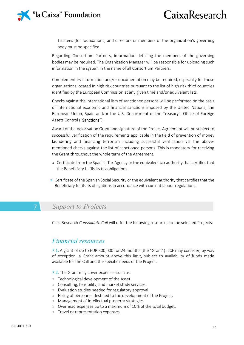

Trustees (for foundations) and directors or members of the organization's governing body must be specified.

Regarding Consortium Partners, information detailing the members of the governing bodies may be required. The Organization Manager will be responsible for uploading such information in the system in the name of all Consortium Partners.

Complementary information and/or documentation may be required, especially for those organizations located in high risk countries pursuant to the list of high risk third countries identified by the European Commission at any given time and/or equivalent lists.

Checks against the international lists of sanctioned persons will be performed on the basis of international economic and financial sanctions imposed by the United Nations, the European Union, Spain and/or the U.S. Department of the Treasury's Office of Foreign Assets Control ("Sanctions").

Award of the Valorisation Grant and signature of the Project Agreement will be subject to successful verification of the requirements applicable in the field of prevention of money laundering and financing terrorism including successful verification via the abovementioned checks against the list of sanctioned persons. This is mandatory for receiving the Grant throughout the whole term of the Agreement.

- » Certificate from the Spanish Tax Agency or the equivalent tax authority that certifies that the Beneficiary fulfils its tax obligations.
- » Certificate of the Spanish Social Security or the equivalent authority that certifies that the Beneficiary fulfils its obligations in accordance with current labour regulations.

### 7 *Support to Projects*

CaixaResearch *Consolidate Call* will offer the following resources to the selected Projects:

### *Financial resources*

7.1. A grant of up to EUR 300,000 for 24 months (the "Grant"). LCF may consider, by way of exception, a Grant amount above this limit, subject to availability of funds made available for the Call and the specific needs of the Project.

7.2. The Grant may cover expenses such as:

- » Technological development of the Asset.
- » Consulting, feasibility, and market study services.
- » Evaluation studies needed for regulatory approval.
- » Hiring of personnel destined to the development of the Project.
- » Management of intellectual property strategies.
- » Overhead expenses up to a maximum of 10% of the total budget.
- » Travel or representation expenses.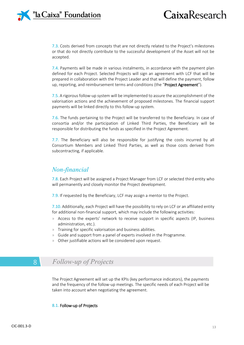

7.3. Costs derived from concepts that are not directly related to the Project's milestones or that do not directly contribute to the successful development of the Asset will not be accepted.

7.4. Payments will be made in various instalments, in accordance with the payment plan defined for each Project. Selected Projects will sign an agreement with LCF that will be prepared in collaboration with the Project Leader and that will define the payment, follow up, reporting, and reimbursement terms and conditions (the "**Project Agreement**").

7.5. A rigorous follow-up system will be implemented to assure the accomplishment of the valorisation actions and the achievement of proposed milestones. The financial support payments will be linked directly to this follow-up system.

7.6. The funds pertaining to the Project will be transferred to the Beneficiary. In case of consortia and/or the participation of Linked Third Parties, the Beneficiary will be responsible for distributing the funds as specified in the Project Agreement.

7.7. The Beneficiary will also be responsible for justifying the costs incurred by all Consortium Members and Linked Third Parties, as well as those costs derived from subcontracting, if applicable.

### *Non-financial*

7.8. Each Project will be assigned a Project Manager from LCF or selected third entity who will permanently and closely monitor the Project development.

7.9. If requested by the Beneficiary, LCF may assign a mentor to the Project.

7.10. Additionally, each Project will have the possibility to rely on LCF or an affiliated entity for additional non-financial support, which may include the following activities:

- » Access to the experts' network to receive support in specific aspects (IP, business administration, etc.).
- » Training for specific valorisation and business abilities.
- » Guide and support from a panel of experts involved in the Programme.
- » Other justifiable actions will be considered upon request.

### 8 *Follow-up of Projects*

The Project Agreement will set up the KPIs (key performance indicators), the payments and the frequency of the follow-up meetings. The specific needs of each Project will be taken into account when negotiating the agreement.

#### 8.1. Follow-up of Projects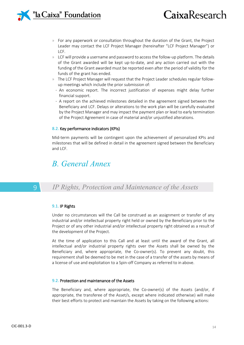

- » For any paperwork or consultation throughout the duration of the Grant, the Project Leader may contact the LCF Project Manager (hereinafter "LCF Project Manager") or LCF.
- » LCF will provide a username and password to access the follow-up platform. The details of the Grant awarded will be kept up-to-date, and any action carried out with the funding of the Grant awarded must be reported even after the period of validity for the funds of the grant has ended.
- » The LCF Project Manager will request that the Project Leader schedules regular followup meetings which include the prior submission of:
	- · An economic report. The incorrect justification of expenses might delay further financial support.
	- · A report on the achieved milestones detailed in the agreement signed between the Beneficiary and LCF. Delays or alterations to the work plan will be carefully evaluated by the Project Manager and may impact the payment plan or lead to early termination of the Project Agreement in case of material and/or unjustified alterations.

#### 8.2. Key performance indicators (KPIs)

Mid-term payments will be contingent upon the achievement of personalized KPIs and milestones that will be defined in detail in the agreement signed between the Beneficiary and LCF.

### *B. General Annex*

9 *IP Rights, Protection and Maintenance of the Assets*

#### 9.1. IP Rights

Under no circumstances will the Call be construed as an assignment or transfer of any industrial and/or intellectual property right held or owned by the Beneficiary prior to the Project or of any other industrial and/or intellectual property right obtained as a result of the development of the Project.

At the time of application to this Call and at least until the award of the Grant, all intellectual and/or industrial property rights over the Assets shall be owned by the Beneficiary and, where appropriate, the Co-owner(s). To prevent any doubt, this requirement shall be deemed to be met in the case of a transfer of the assets by means of a license of use and exploitation to a Spin-off Company as referred to in above.

#### 9.2. Protection and maintenance of the Assets

The Beneficiary and, where appropriate, the Co-owner(s) of the Assets (and/or, if appropriate, the transferee of the Asset/s, except where indicated otherwise) will make their best efforts to protect and maintain the Assets by taking on the following actions: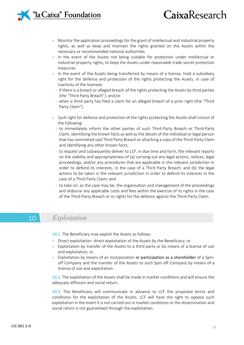# CaixaResearch

- » Monitor the application proceedings for the grant of intellectual and industrial property rights, as well as keep and maintain the rights granted on the Assets within the necessary or recommended national authorities.
- » In the event of the Assets not being suitable for protection under intellectual or industrial property rights, to keep the Assets under reasonable trade secret protection measures.
- » In the event of the Assets being transferred by means of a license, hold a subsidiary right for the defence and protection of the rights protecting the Assets, in case of inactivity of the licensee:
	- · if there is a breach or alleged breach of the rights protecting the Assets by third parties (the "Third Party Breach"); and/or
	- · when a third party has filed a claim for an alleged breach of a prior right (the "Third Party Claim").
- » Such right for defence and protection of the rights protecting the Assets shall consist of the following:
	- · to immediately inform the other parties of such Third-Party Breach or Third-Party Claim, identifying the known facts as well as the details of the individual or legal person that has committed said Third Party Breach or attaching a copy of the Third-Party Claim and identifying any other known facts;
	- · to request and subsequently deliver to LCF, in due time and form, the relevant reports on the viability and appropriateness of (a) carrying out any legal actions, notices, legal proceedings, and/or any procedures that are applicable in the relevant jurisdiction in order to defend its interests, in the case of a Third Party Breach; and (b) the legal actions to be taken in the relevant jurisdiction in order to defend its interests in the case of a Third Party Claim; and
	- · to take on, as the case may be, the organisation and management of the proceedings and disburse any applicable costs and fees within the exercise of its rights in the case of the Third-Party Breach or its rights for the defence against the Third-Party Claim.

### 10 *Exploitation*

10.1. The Beneficiary may exploit the Assets as follows:

- » Direct exploitation: direct exploitation of the Assets by the Beneficiary; or
- » Exploitation by transfer of the Assets to a third party or by means of a license of use and exploitation; or
- » Exploitation by means of an incorporation or participation as a shareholder of a Spinoff Company and the transfer of the Assets to such Spin-off Company by means of a license of use and exploitation.

10.2. The exploitation of the Assets shall be made in market conditions and will ensure the adequate diffusion and social return.

10.3. The Beneficiary will communicate in advance to LCF the proposed terms and conditions for the exploitation of the Assets. LCF will have the right to oppose such exploitation in the event it is not carried out in market conditions or the dissemination and social return is not guaranteed through the exploitation.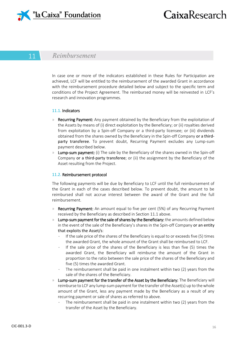

### 11 *Reimbursement*

In case one or more of the indicators established in these Rules for Participation are achieved, LCF will be entitled to the reimbursement of the awarded Grant in accordance with the reimbursement procedure detailed below and subject to the specific term and conditions of the Project Agreement. The reimbursed money will be reinvested in LCF's research and innovation programmes.

#### 11.1. Indicators

- » Recurring Payment: Any payment obtained by the Beneficiary from the exploitation of the Assets by means of (i) direct exploitation by the Beneficiary; or (ii) royalties derived from exploitation by a Spin-off Company or a third-party licensee; or (iii) dividends obtained from the shares owned by the Beneficiary in the Spin-off Company or a thirdparty transferee. To prevent doubt, Recurring Payment excludes any Lump-sum payment described below.
- **Lump-sum payment:** (i) The sale by the Beneficiary of the shares owned in the Spin-off Company or a third-party transferee; or (ii) the assignment by the Beneficiary of the Asset resulting from the Project.

#### 11.2. Reimbursement protocol

The following payments will be due by Beneficiary to LCF until the full reimbursement of the Grant in each of the cases described below. To prevent doubt, the amount to be reimbursed shall not accrue interest between the award of the Grant and the full reimbursement.

- » Recurring Payment: An amount equal to five per cent (5%) of any Recurring Payment received by the Beneficiary as described in Section 11.1 above.
- $\mathcal{P}$  Lump-sum payment for the sale of shares by the Beneficiary: the amounts defined below in the event of the sale of the Beneficiary's shares in the Spin-off Company or an entity that exploits the Asset/s:
	- · If the sale price of the shares of the Beneficiary is equal to or exceeds five (5) times the awarded Grant, the whole amount of the Grant shall be reimbursed to LCF.
	- · If the sale price of the shares of the Beneficiary is less than five (5) times the awarded Grant, the Beneficiary will reimburse the amount of the Grant in proportion to the ratio between the sale price of the shares of the Beneficiary and five (5) times the awarded Grant.
	- The reimbursement shall be paid in one instalment within two (2) years from the sale of the shares of the Beneficiary.
- » Lump-sum payment for the transfer of the Asset by the Beneficiary: The Beneficiary will reimburse to LCF any lump-sum payment for the transfer of the Asset(s) up to the whole amount of the Grant, less any payment made by the Beneficiary as a result of any recurring payment or sale of shares as referred to above.
	- The reimbursement shall be paid in one instalment within two (2) years from the transfer of the Asset by the Beneficiary.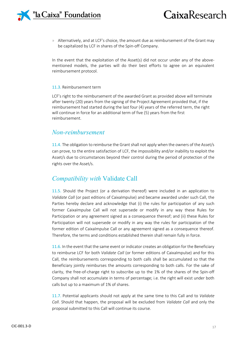

» Alternatively, and at LCF's choice, the amount due as reimbursement of the Grant may be capitalized by LCF in shares of the Spin-off Company.

In the event that the exploitation of the Asset(s) did not occur under any of the abovementioned models, the parties will do their best efforts to agree on an equivalent reimbursement protocol.

#### 11.3. Reimbursement term

LCF's right to the reimbursement of the awarded Grant as provided above will terminate after twenty (20) years from the signing of the Project Agreement provided that, if the reimbursement had started during the last four (4) years of the referred term, the right will continue in force for an additional term of five (5) years from the first reimbursement.

### *Non-reimbursement*

11.4. The obligation to reimburse the Grant shall not apply when the owners of the Asset/s can prove, to the entire satisfaction of LCF, the impossibility and/or inability to exploit the Asset/s due to circumstances beyond their control during the period of protection of the rights over the Asset/s.

### *Compatibility with* Validate Call

11.5. Should the Project (or a derivation thereof) were included in an application to *Validate Call* (or past editions of CaixaImpulse) and became awarded under such Call, the Parties hereby declare and acknowledge that (i) the rules for participation of any such former CaixaImpulse Call will not supersede or modify in any way these Rules for Participation or any agreement signed as a consequence thereof; and (ii) these Rules for Participation will not supersede or modify in any way the rules for participation of the former edition of CaixaImpulse Call or any agreement signed as a consequence thereof. Therefore, the terms and conditions established therein shall remain fully in force.

11.6. In the event that the same event or indicator creates an obligation for the Beneficiary to reimburse LCF for both *Validate Call* (or former editions of CaixaImpulse) and for this Call, the reimbursements corresponding to both calls shall be accumulated so that the Beneficiary jointly reimburses the amounts corresponding to both calls. For the sake of clarity, the free-of-charge right to subscribe up to the 1% of the shares of the Spin-off Company shall not accumulate in terms of percentage; i.e. the right will exist under both calls but up to a maximum of 1% of shares.

11.7. Potential applicants should not apply at the same time to this Call and to *Validate Call*. Should that happen, the proposal will be excluded from *Validate Call* and only the proposal submitted to this Call will continue its course.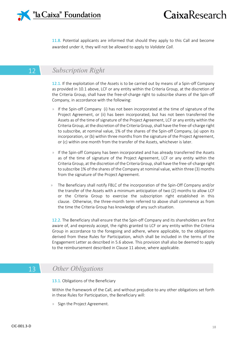

11.8. Potential applicants are informed that should they apply to this Call and become awarded under it, they will not be allowed to apply to *Validate Call*.

### 12 *Subscription Right*

12.1. If the exploitation of the Assets is to be carried out by means of a Spin-off Company as provided in 10.1 above, LCF or any entity within the Criteria Group, at the discretion of the Criteria Group, shall have the free-of-charge right to subscribe shares of the Spin-off Company, in accordance with the following:

- » If the Spin-off Company (i) has not been incorporated at the time of signature of the Project Agreement, or (ii) has been incorporated, but has not been transferred the Assets as of the time of signature of the Project Agreement, LCF or any entity within the Criteria Group, at the discretion of the Criteria Group, shall have the free-of-charge right to subscribe, at nominal value, 1% of the shares of the Spin-off Company, (a) upon its incorporation, or (b) within three months from the signature of the Project Agreement, or (c) within one month from the transfer of the Assets, whichever is later.
- » If the Spin-off Company has been incorporated and has already transferred the Assets as of the time of signature of the Project Agreement, LCF or any entity within the Criteria Group, at the discretion of the Criteria Group, shall have the free-of-charge right to subscribe 1% of the shares of the Company at nominal value, within three (3) months from the signature of the Project Agreement.
- » The Beneficiary shall notify FBLC of the incorporation of the Spin-Off Company and/or the transfer of the Assets with a minimum anticipation of two (2) months to allow LCF or the Criteria Group to exercise the subscription right established in this clause. Otherwise, the three-month term referred to above shall commence as from the time the Criteria Group has knowledge of any such situation.

12.2. The Beneficiary shall ensure that the Spin-off Company and its shareholders are first aware of, and expressly accept, the rights granted to LCF or any entity within the Criteria Group in accordance to the foregoing and adhere, where applicable, to the obligations derived from these Rules for Participation, which shall be included in the terms of the Engagement Letter as described in 5.6 above. This provision shall also be deemed to apply to the reimbursement described in Clause 11 above, where applicable.

### 13 *Other Obligations*

13.1. Obligations of the Beneficiary

Within the framework of the Call, and without prejudice to any other obligations set forth in these Rules for Participation, the Beneficiary will:

» Sign the Project Agreement.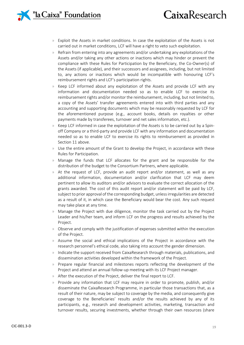### <sup>n</sup>la Caixa" Foundation

# CaixaResearch

- » Exploit the Assets in market conditions. In case the exploitation of the Assets is not carried out in market conditions, LCF will have a right to veto such exploitation.
- » Refrain from entering into any agreements and/or undertaking any exploitations of the Assets and/or taking any other actions or inactions which may hinder or prevent the compliance with these Rules for Participation by the Beneficiary, the Co-Owner(s) of the Assets (if applicable), and their successors and assignees, including, but not limited to, any actions or inactions which would be incompatible with honouring LCF's reimbursement rights and LCF's participation rights.
- » Keep LCF informed about any exploitation of the Assets and provide LCF with any information and documentation needed so as to enable LCF to exercise its reimbursement rights and/or monitor the reimbursement, including, but not limited to, a copy of the Assets' transfer agreements entered into with third parties and any accounting and supporting documents which may be reasonably requested by LCF for the aforementioned purpose (e.g., account books, details on royalties or other payments made by transferees, turnover and net sales information, etc.).
- » Keep LCF informed in case the exploitation of the Assets is to be carried out by a Spinoff Company or a third-party and provide LCF with any information and documentation needed so as to enable LCF to exercise its rights to reimbursement as provided in Section 11 above.
- » Use the entire amount of the Grant to develop the Project, in accordance with these Rules for Participation.
- » Manage the funds that LCF allocates for the grant and be responsible for the distribution of the budget to the Consortium Partners, where applicable.
- » At the request of LCF, provide an audit report and/or statement, as well as any additional information, documentation and/or clarification that LCF may deem pertinent to allow its auditors and/or advisors to evaluate the correct allocation of the grants awarded. The cost of this audit report and/or statement will be paid by LCF, subject to prior approval of the corresponding budget, unless irregularities are detected as a result of it, in which case the Beneficiary would bear the cost. Any such request may take place at any time.
- » Manage the Project with due diligence, monitor the task carried out by the Project Leader and his/her team, and inform LCF on the progress and results achieved by the Project.
- » Observe and comply with the justification of expenses submitted within the execution of the Project.
- » Assume the social and ethical implications of the Project in accordance with the research personnel's ethical code, also taking into account the gender dimension.
- » Indicate the support received from CaixaResearch through materials, publications, and dissemination activities developed within the framework of the Project.
- » Prepare regular financial and milestones reports reflecting the development of the Project and attend an annual follow-up meeting with its LCF Project manager.
- » After the execution of the Project, deliver the final report to LCF.
- » Provide any information that LCF may require in order to promote, publish, and/or disseminate the CaixaResearch Programme, in particular those transactions that, as a result of their nature, may be subject to coverage by the media, and consequently give coverage to the Beneficiaries' results and/or the results achieved by any of its participants, e.g., research and development activities, marketing, transaction and turnover results, securing investments, whether through their own resources (share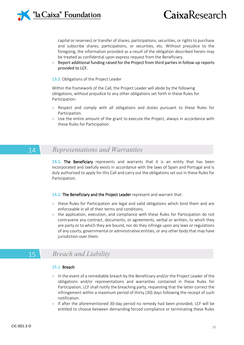

capital or reserves) or transfer of shares, participations, securities, or rights to purchase and subscribe shares, participations, or securities, etc. Without prejudice to the foregoing, the information provided as a result of the obligation described herein may be treated as confidential upon express request from the Beneficiary.

» Report additional funding raised for the Project from third parties in follow-up reports provided to LCF.

#### 13.2. Obligations of the Project Leader

Within the framework of the Call, the Project Leader will abide by the following obligations, without prejudice to any other obligations set forth in these Rules for Participation:

- » Respect and comply with all obligations and duties pursuant to these Rules for Participation.
- Use the entire amount of the grant to execute the Project, always in accordance with these Rules for Participation.

### 14 *Representations and Warranties*

14.1**.** The Beneficiary represents and warrants that it is an entity that has been incorporated and lawfully exists in accordance with the laws of Spain and Portugal and is duly authorised to apply for this Call and carry out the obligations set out in these Rules for Participation.

#### 14.2**.** The Beneficiary and the Project Leader represent and warrant that:

- » these Rules for Participation are legal and valid obligations which bind them and are enforceable in all of their terms and conditions.
- » the application, execution, and compliance with these Rules for Participation do not contravene any contract, documents, or agreements, verbal or written, to which they are party or to which they are bound, nor do they infringe upon any laws or regulations of any courts, governmental or administrative entities, or any other body that may have jurisdiction over them.

### 15 *Breach and Liability*

#### 15.1. Breach

- » In the event of a remediable breach by the Beneficiary and/or the Project Leader of the obligations and/or representations and warranties contained in these Rules for Participation, LCF shall notify the breaching party, requesting that the latter correct the infringement within a maximum period of thirty (30) days following the receipt of such notification.
- » If after the aforementioned 30-day period no remedy had been provided, LCF will be entitled to choose between demanding forced compliance or terminating these Rules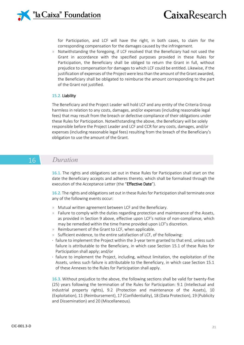# CaixaResearch

for Participation, and LCF will have the right, in both cases, to claim for the corresponding compensation for the damages caused by the infringement.

» Notwithstanding the foregoing, if LCF resolved that the Beneficiary had not used the Grant in accordance with the specified purposes provided in these Rules for Participation, the Beneficiary shall be obliged to return the Grant in full, without prejudice to compensation for damages to which LCF could be entitled. Likewise, if the justification of expenses of the Project were less than the amount of the Grant awarded, the Beneficiary shall be obligated to reimburse the amount corresponding to the part of the Grant not justified.

#### 15.2. Liability

The Beneficiary and the Project Leader will hold LCF and any entity of the Criteria Group harmless in relation to any costs, damages, and/or expenses (including reasonable legal fees) that may result from the breach or defective compliance of their obligations under these Rules for Participation. Notwithstanding the above, the Beneficiary will be solely responsible before the Project Leader and LCF and CCR for any costs, damages, and/or expenses (including reasonable legal fees) resulting from the breach of the Beneficiary's obligation to use the amount of the Grant.

### 16 *Duration*

16.1. The rights and obligations set out in these Rules for Participation shall start on the date the Beneficiary accepts and adheres thereto, which shall be formalised through the execution of the Acceptance Letter (the "Effective Date").

16.2. The rights and obligations set out in these Rules for Participation shall terminate once any of the following events occur:

- » Mutual written agreement between LCF and the Beneficiary.
- » Failure to comply with the duties regarding protection and maintenance of the Assets, as provided in Section 9 above, effective upon LCF's notice of non-compliance, which may be remedied within the time frame provided upon LCF's discretion.
- » Reimbursement of the Grant to LCF, when applicable.
- » Sufficient evidence, to the entire satisfaction of LCF, of the following:
- · failure to implement the Project within the 3-year term granted to that end, unless such failure is attributable to the Beneficiary, in which case Section 15.1 of these Rules for Participation shall apply; and/or
- · failure to implement the Project, including, without limitation, the exploitation of the Assets, unless such failure is attributable to the Beneficiary, in which case Section 15.1 of these Annexes to the Rules for Participation shall apply.

16.3. Without prejudice to the above, the following sections shall be valid for twenty-five (25) years following the termination of the Rules for Participation: 9.1 (Intellectual and industrial property rights), 9.2 (Protection and maintenance of the Assets), 10 (Exploitation), 11 (Reimbursement), 17 (Confidentiality), 18 (Data Protection), 19 (Publicity and Dissemination) and 20 (Miscellaneous).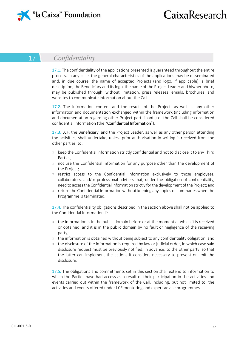

### 17 *Confidentiality*

17.1. The confidentiality of the applications presented is guaranteed throughout the entire process. In any case, the general characteristics of the applications may be disseminated and, in due course, the name of accepted Projects (and logo, if applicable), a brief description, the Beneficiary and its logo, the name of the Project Leader and his/her photo, may be published through, without limitation, press releases, emails, brochures, and websites to communicate information about the Call.

17.2. The information content and the results of the Project, as well as any other information and documentation exchanged within the framework (including information and documentation regarding other Project participants) of the Call shall be considered confidential information (the "Confidential Information").

17.3. LCF, the Beneficiary, and the Project Leader, as well as any other person attending the activities, shall undertake, unless prior authorisation in writing is received from the other parties, to:

- » keep the Confidential Information strictly confidential and not to disclose it to any Third Parties;
- » not use the Confidential Information for any purpose other than the development of the Project;
- » restrict access to the Confidential Information exclusively to those employees, collaborators, and/or professional advisers that, under the obligation of confidentiality, need to access the Confidential Information strictly for the development of the Project; and
- » return the Confidential Information without keeping any copies or summaries when the Programme is terminated.

17.4. The confidentiality obligations described in the section above shall not be applied to the Confidential Information if:

- » the information is in the public domain before or at the moment at which it is received or obtained, and it is in the public domain by no fault or negligence of the receiving party;
- » the information is obtained without being subject to any confidentiality obligation; and
- » the disclosure of the information is required by law or judicial order, in which case said disclosure request must be previously notified, in advance, to the other party, so that the latter can implement the actions it considers necessary to prevent or limit the disclosure.

17.5. The obligations and commitments set in this section shall extend to information to which the Parties have had access as a result of their participation in the activities and events carried out within the framework of the Call, including, but not limited to, the activities and events offered under LCF mentoring and expert advice programmes.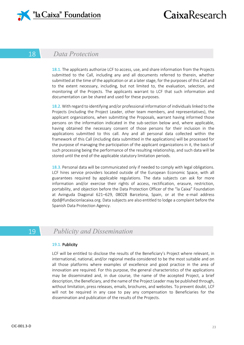

### 18 *Data Protection*

18.1. The applicants authorize LCF to access, use, and share information from the Projects submitted to the Call, including any and all documents referred to therein, whether submitted at the time of the application or at a later stage, for the purposes of this Call and to the extent necessary, including, but not limited to, the evaluation, selection, and monitoring of the Projects. The applicants warrant to LCF that such information and documentation can be shared and used for these purposes.

18.2. With regard to identifying and/or professional information of individuals linked to the Projects (including the Project Leader, other team members, and representatives), the applicant organizations, when submitting the Proposals, warrant having informed those persons on the information indicated in the sub-section below and, where applicable, having obtained the necessary consent of those persons for their inclusion in the applications submitted to this call. Any and all personal data collected within the framework of this Call (including data submitted in the applications) will be processed for the purpose of managing the participation of the applicant organizations in it, the basis of such processing being the performance of the resulting relationship, and such data will be stored until the end of the applicable statutory limitation periods.

18.3. Personal data will be communicated only if needed to comply with legal obligations. LCF hires service providers located outside of the European Economic Space, with all guarantees required by applicable regulations. The data subjects can ask for more information and/or exercise their rights of access, rectification, erasure, restriction, portability, and objection before the Data Protection Officer of the "la Caixa" Foundation at Avinguda Diagonal 621–629, 08028 Barcelona, Spain, or at the e-mail address dpd@fundacionlacaixa.org. Data subjects are also entitled to lodge a complaint before the Spanish Data Protection Agency.

### 19 *Publicity and Dissemination*

#### 19.1. Publicity

LCF will be entitled to disclose the results of the Beneficiary's Project where relevant, in international, national, and/or regional media considered to be the most suitable and on all those platforms where examples of excellence and good practice in the area of innovation are required. For this purpose, the general characteristics of the applications may be disseminated and, in due course, the name of the accepted Project, a brief description, the Beneficiary, and the name of the Project Leader may be published through, without limitation, press releases, emails, brochures, and websites. To prevent doubt, LCF will not be required in any case to pay any compensation to Beneficiaries for the dissemination and publication of the results of the Projects.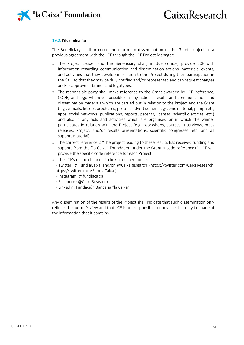

#### 19.2. Dissemination

The Beneficiary shall promote the maximum dissemination of the Grant, subject to a previous agreement with the LCF through the LCF Project Manager:

- » The Project Leader and the Beneficiary shall, in due course, provide LCF with information regarding communication and dissemination actions, materials, events, and activities that they develop in relation to the Project during their participation in the Call, so that they may be duly notified and/or represented and can request changes and/or approve of brands and logotypes.
- The responsible party shall make reference to the Grant awarded by LCF (reference, CODE, and logo whenever possible) in any actions, results and communication and dissemination materials which are carried out in relation to the Project and the Grant (e.g., e-mails, letters, brochures, posters, advertisements, graphic material, pamphlets, apps, social networks, publications, reports, patents, licenses, scientific articles, etc.) and also in any acts and activities which are organised or in which the winner participates in relation with the Project (e.g., workshops, courses, interviews, press releases, Project, and/or results presentations, scientific congresses, etc. and all support material).
- » The correct reference is "The project leading to these results has received funding and support from the "la Caixa" Foundation under the Grant < code reference>". LCF will provide the specific code reference for each Project.
- » The LCF's online channels to link to or mention are: · Twitter: @FundlaCaixa and/or @CaixaResearch (https://twitter.com/CaixaResearch, https://twitter.com/FundlaCaixa )
	- · Instagram: @fundlacaixa
	- · Facebook: @CaixaResearch
	- · LinkedIn: Fundación Bancaria "la Caixa"

Any dissemination of the results of the Project shall indicate that such dissemination only reflects the author's view and that LCF is not responsible for any use that may be made of the information that it contains.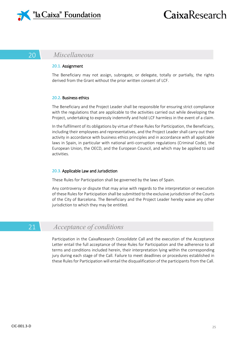

### 20 *Miscellaneous*

#### 20.1. Assignment

The Beneficiary may not assign, subrogate, or delegate, totally or partially, the rights derived from the Grant without the prior written consent of LCF.

#### 20.2**.** Business ethics

The Beneficiary and the Project Leader shall be responsible for ensuring strict compliance with the regulations that are applicable to the activities carried out while developing the Project, undertaking to expressly indemnify and hold LCF harmless in the event of a claim.

In the fulfilment of its obligations by virtue of these Rules for Participation, the Beneficiary, including their employees and representatives, and the Project Leader shall carry out their activity in accordance with business ethics principles and in accordance with all applicable laws in Spain, in particular with national anti-corruption regulations (Criminal Code), the European Union, the OECD, and the European Council, and which may be applied to said activities.

#### 20.3. Applicable Law and Jurisdiction

These Rules for Participation shall be governed by the laws of Spain.

Any controversy or dispute that may arise with regards to the interpretation or execution of these Rules for Participation shall be submitted to the exclusive jurisdiction of the Courts of the City of Barcelona. The Beneficiary and the Project Leader hereby waive any other jurisdiction to which they may be entitled.

### 21 *Acceptance of conditions*

Participation in the CaixaResearch *Consolidate* Call and the execution of the Acceptance Letter entail the full acceptance of these Rules for Participation and the adherence to all terms and conditions included herein, their interpretation lying within the corresponding jury during each stage of the Call. Failure to meet deadlines or procedures established in these Rules for Participation will entail the disqualification of the participants from the Call.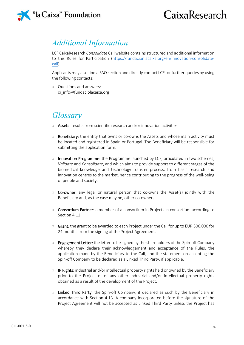

### *Additional Information*

LCF CaixaResearch *Consolidate* Call website contains structured and additional information to this Rules for Participation [\(https://fundacionlacaixa.org/en/innovation-consolidate](https://fundacionlacaixa.org/en/innovation-consolidate-call)[call\)](https://fundacionlacaixa.org/en/innovation-consolidate-call).

Applicants may also find a FAQ section and directly contact LCF for further queries by using the following contacts:

» Questions and answers: ci\_info@fundaciolacaixa.org

### *Glossary*

- » Assets: results from scientific research and/or innovation activities.
- Beneficiary: the entity that owns or co-owns the Assets and whose main activity must be located and registered in Spain or Portugal. The Beneficiary will be responsible for submitting the application form.
- » Innovation Programme: the Programme launched by LCF, articulated in two schemes, *Validate* and *Consolidate*, and which aims to provide support to different stages of the biomedical knowledge and technology transfer process, from basic research and innovation centres to the market, hence contributing to the progress of the well-being of people and society.
- » Co-owner: any legal or natural person that co-owns the Asset(s) jointly with the Beneficiary and, as the case may be, other co-owners.
- » Consortium Partner: a member of a consortium in Projects in consortium according to Section 4.11.
- » Grant: the grant to be awarded to each Project under the Call for up to EUR 300,000 for 24 months from the signing of the Project Agreement.
- » Engagement Letter: the letter to be signed by the shareholders of the Spin-off Company whereby they declare their acknowledgement and acceptance of the Rules, the application made by the Beneficiary to the Call, and the statement on accepting the Spin-off Company to be declared as a Linked Third Party, if applicable.
- » IP Rights: industrial and/or intellectual property rights held or owned by the Beneficiary prior to the Project or of any other industrial and/or intellectual property rights obtained as a result of the development of the Project.
- » Linked Third Party: the Spin-off Company, if declared as such by the Beneficiary in accordance with Section 4.13. A company incorporated before the signature of the Project Agreement will not be accepted as Linked Third Party unless the Project has